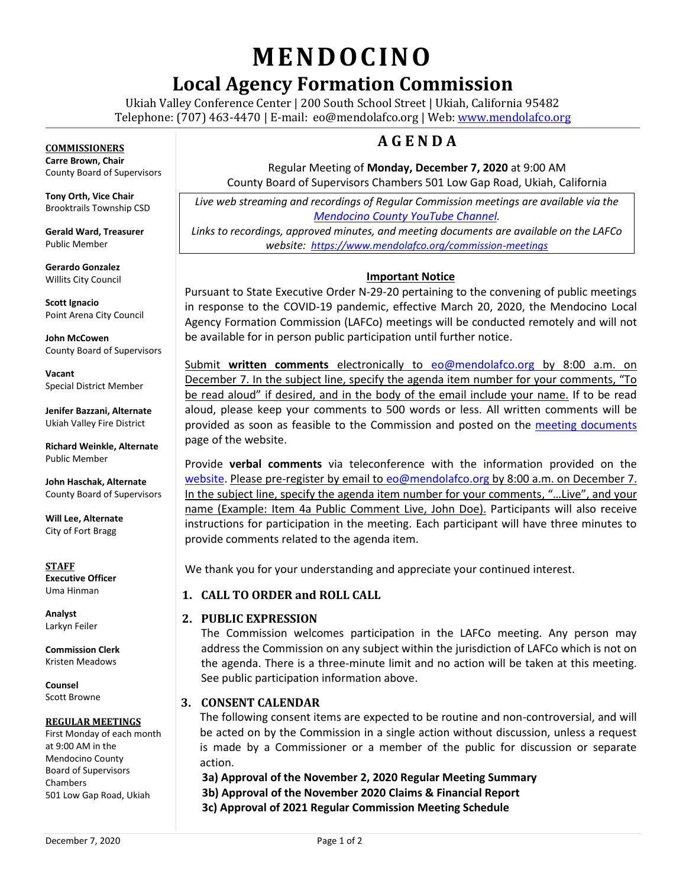# **MENDOCINO**

# **Local Agency Formation Commission**

Ukiah Valley Conference Center | 200 South School Street | Ukiah, California 95482 Telephone: (707) 463-4470 | E-mail: [eo@mendolafco.org](mailto:eo@mendolafco.org) | Web[: www.mendolafco.org](http://www.mendolafco.org/)

### **A G E N D A**

Regular Meeting of **Monday, December 7, 2020** at 9:00 AM County Board of Supervisors Chambers 501 Low Gap Road, Ukiah, California

*Live web streaming and recordings of Regular Commission meetings are available via the [Mendocino County YouTube Channel](http://www.youtube.com/MendocinoCountyVideo).* 

*Links to recordings, approved minutes, and meeting documents are available on the LAFCo website: <https://www.mendolafco.org/commission-meetings>*

#### **Important Notice**

Pursuant to State Executive Order N-29-20 pertaining to the convening of public meetings in response to the COVID-19 pandemic, effective March 20, 2020, the Mendocino Local Agency Formation Commission (LAFCo) meetings will be conducted remotely and will not be available for in person public participation until further notice.

Submit **written comments** electronically to [eo@mendolafco.org](mailto:eo@mendolafco.org) by 8:00 a.m. on December 7. In the subject line, specify the agenda item number for your comments, "To be read aloud" if desired, and in the body of the email include your name*.* If to be read aloud, please keep your comments to 500 words or less. All written comments will be provided as soon as feasible to the Commission and posted on the [meeting documents](https://www.mendolafco.org/commission-meetings) page of the website.

Provide **verbal comments** via teleconference with the information provided on the [website.](https://www.mendolafco.org/commission-meetings) Please pre-register by email to [eo@mendolafco.org](mailto:eo@mendolafco.org) by 8:00 a.m. on December 7. In the subject line, specify the agenda item number for your comments, "…Live", and your name (Example: Item 4a Public Comment Live, John Doe). Participants will also receive instructions for participation in the meeting. Each participant will have three minutes to provide comments related to the agenda item.

We thank you for your understanding and appreciate your continued interest.

#### **1. CALL TO ORDER and ROLL CALL**

#### **2. PUBLIC EXPRESSION**

The Commission welcomes participation in the LAFCo meeting. Any person may address the Commission on any subject within the jurisdiction of LAFCo which is not on the agenda. There is a three-minute limit and no action will be taken at this meeting. See public participation information above.

#### **3. CONSENT CALENDAR**

The following consent items are expected to be routine and non-controversial, and will be acted on by the Commission in a single action without discussion, unless a request is made by a Commissioner or a member of the public for discussion or separate action.

**3a) Approval of the November 2, 2020 Regular Meeting Summary 3b) Approval of the November 2020 Claims & Financial Report 3c) Approval of 2021 Regular Commission Meeting Schedule** 

**COMMISSIONERS Carre Brown, Chair** County Board of Supervisors

**Tony Orth, Vice Chair** Brooktrails Township CSD

**Gerald Ward, Treasurer** Public Member

**Gerardo Gonzalez** Willits City Council

**Scott Ignacio** Point Arena City Council

**John McCowen** County Board of Supervisors

**Vacant** Special District Member

**Jenifer Bazzani, Alternate** Ukiah Valley Fire District

**Richard Weinkle, Alternate** Public Member

**John Haschak, Alternate** County Board of Supervisors

**Will Lee, Alternate** City of Fort Bragg

**STAFF Executive Officer** Uma Hinman

**Analyst** Larkyn Feiler

**Commission Clerk** Kristen Meadows

**Counsel** Scott Browne

#### **REGULAR MEETINGS**

First Monday of each month at 9:00 AM in the Mendocino County Board of Supervisors Chambers 501 Low Gap Road, Ukiah